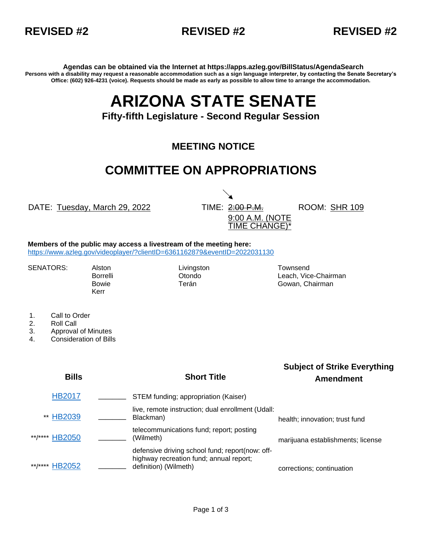



**Agendas can be obtained via the Internet at https://apps.azleg.gov/BillStatus/AgendaSearch Persons with a disability may request a reasonable accommodation such as a sign language interpreter, by contacting the Senate Secretary's Office: (602) 926-4231 (voice). Requests should be made as early as possible to allow time to arrange the accommodation.**

## **ARIZONA STATE SENATE**

## **Fifty-fifth Legislature - Second Regular Session**

## **MEETING NOTICE**

## **COMMITTEE ON APPROPRIATIONS**

DATE: Tuesday, March 29, 2022 TIME: 2:00 P.M.

9:00 A.M. (NOTE TIME CHANGE)\*

ROOM: SHR 109

**Members of the public may access a livestream of the meeting here:**  <https://www.azleg.gov/videoplayer/?clientID=6361162879&eventID=2022031130>

Kerr

SENATORS: Alston Livingston Livingston Townsend

Borrelli **Communistis Communisties** Otondo **Leach, Vice-Chairman** Bowie **Terán** Terán Gowan, Chairman

- 1. Call to Order
- 2. Roll Call
- 3. Approval of Minutes
- 4. Consideration of Bills

| <b>Bills</b>             | <b>Short Title</b>                                                                                                  | <b>Subject of Strike Everything</b><br><b>Amendment</b> |
|--------------------------|---------------------------------------------------------------------------------------------------------------------|---------------------------------------------------------|
| <b>HB2017</b>            | STEM funding; appropriation (Kaiser)                                                                                |                                                         |
| ** HB2039                | live, remote instruction; dual enrollment (Udall:<br>Blackman)                                                      | health; innovation; trust fund                          |
| **/**** HB2050           | telecommunications fund; report; posting<br>(Wilmeth)                                                               | marijuana establishments; license                       |
| **/****<br><b>HB2052</b> | defensive driving school fund; report(now: off-<br>highway recreation fund; annual report;<br>definition) (Wilmeth) | corrections; continuation                               |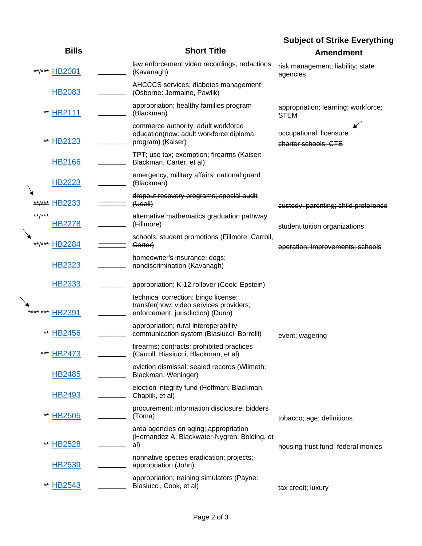|                         |  |                                                                                                                      | <b>Subject of Strike Everything</b>                |  |
|-------------------------|--|----------------------------------------------------------------------------------------------------------------------|----------------------------------------------------|--|
| <b>Bills</b>            |  | <b>Short Title</b>                                                                                                   | <b>Amendment</b>                                   |  |
| **/*** HB2081           |  | law enforcement video recordings; redactions<br>(Kavanagh)                                                           | risk management; liability; state<br>agencies      |  |
| <b>HB2083</b>           |  | AHCCCS services; diabetes management<br>(Osborne: Jermaine, Pawlik)                                                  |                                                    |  |
| HB2111<br>$***$         |  | appropriation; healthy families program<br>(Blackman)                                                                | appropriation; learning; workforce;<br><b>STEM</b> |  |
| HB2123                  |  | commerce authority; adult workforce<br>education(now: adult workforce diploma<br>program) (Kaiser)                   | occupational; licensure<br>charter schools; CTE    |  |
| <b>HB2166</b>           |  | TPT; use tax; exemption; firearms (Kaiser:<br>Blackman, Carter, et al)                                               |                                                    |  |
| <b>HB2223</b>           |  | emergency; military affairs; national guard<br>(Blackman)                                                            |                                                    |  |
| HB <sub>2233</sub>      |  | dropout recovery programs; special audit<br>(Hdall)                                                                  | eustody; parenting; child preference               |  |
| **/***<br>HB2278        |  | alternative mathematics graduation pathway<br>(Fillmore)                                                             | student tuition organizations                      |  |
| <b>HB2284</b><br>**/*** |  | schools; student promotions (Fillmore: Carroll,<br>Garter)                                                           | operation; improvements; schools                   |  |
| <b>HB2323</b>           |  | homeowner's insurance; dogs;<br>nondiscrimination (Kavanagh)                                                         |                                                    |  |
| HB2333                  |  | appropriation; K-12 rollover (Cook: Epstein)                                                                         |                                                    |  |
| HB2391<br>***           |  | technical correction; bingo license;<br>transfer(now: video services providers;<br>enforcement; jurisdiction) (Dunn) |                                                    |  |
| <b>HB2456</b>           |  | appropriation; rural interoperability<br>communication system (Biasiucci: Borrelli)                                  | event; wagering                                    |  |
| HB2473<br>***           |  | firearms; contracts; prohibited practices<br>(Carroll: Biasiucci, Blackman, et al)                                   |                                                    |  |
| <b>HB2485</b>           |  | eviction dismissal; sealed records (Wilmeth:<br>Blackman, Weninger)                                                  |                                                    |  |
| <b>HB2493</b>           |  | election integrity fund (Hoffman: Blackman,<br>Chaplik, et al)                                                       |                                                    |  |
| <b>HB2505</b><br>**     |  | procurement; information disclosure; bidders<br>(Toma)                                                               | tobacco; age; definitions                          |  |
| <b>HB2528</b><br>**     |  | area agencies on aging; appropriation<br>(Hernandez A: Blackwater-Nygren, Bolding, et<br>al)                         | housing trust fund; federal monies                 |  |
| HB2539                  |  | nonnative species eradication; projects;<br>appropriation (John)                                                     |                                                    |  |
| <b>HB2543</b><br>**     |  | appropriation; training simulators (Payne:<br>Biasiucci, Cook, et al)                                                | tax credit; luxury                                 |  |